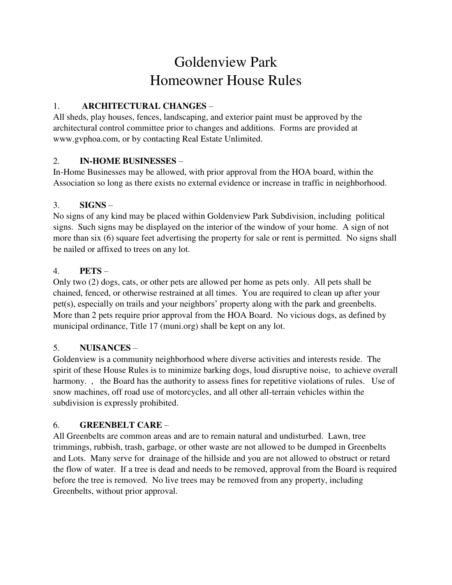# Goldenview Park Homeowner House Rules

# 1. **ARCHITECTURAL CHANGES** –

All sheds, play houses, fences, landscaping, and exterior paint must be approved by the architectural control committee prior to changes and additions. Forms are provided at www.gvphoa.com, or by contacting Real Estate Unlimited.

## 2. **IN-HOME BUSINESSES** –

In-Home Businesses may be allowed, with prior approval from the HOA board, within the Association so long as there exists no external evidence or increase in traffic in neighborhood.

# 3. **SIGNS** –

No signs of any kind may be placed within Goldenview Park Subdivision, including political signs. Such signs may be displayed on the interior of the window of your home. A sign of not more than six (6) square feet advertising the property for sale or rent is permitted. No signs shall be nailed or affixed to trees on any lot.

# 4. **PETS** –

Only two (2) dogs, cats, or other pets are allowed per home as pets only. All pets shall be chained, fenced, or otherwise restrained at all times. You are required to clean up after your pet(s), especially on trails and your neighbors' property along with the park and greenbelts. More than 2 pets require prior approval from the HOA Board. No vicious dogs, as defined by municipal ordinance, Title 17 (muni.org) shall be kept on any lot.

## 5. **NUISANCES** –

Goldenview is a community neighborhood where diverse activities and interests reside. The spirit of these House Rules is to minimize barking dogs, loud disruptive noise, to achieve overall harmony., the Board has the authority to assess fines for repetitive violations of rules. Use of snow machines, off road use of motorcycles, and all other all-terrain vehicles within the subdivision is expressly prohibited.

## 6. **GREENBELT CARE** –

All Greenbelts are common areas and are to remain natural and undisturbed. Lawn, tree trimmings, rubbish, trash, garbage, or other waste are not allowed to be dumped in Greenbelts and Lots. Many serve for drainage of the hillside and you are not allowed to obstruct or retard the flow of water. If a tree is dead and needs to be removed, approval from the Board is required before the tree is removed. No live trees may be removed from any property, including Greenbelts, without prior approval.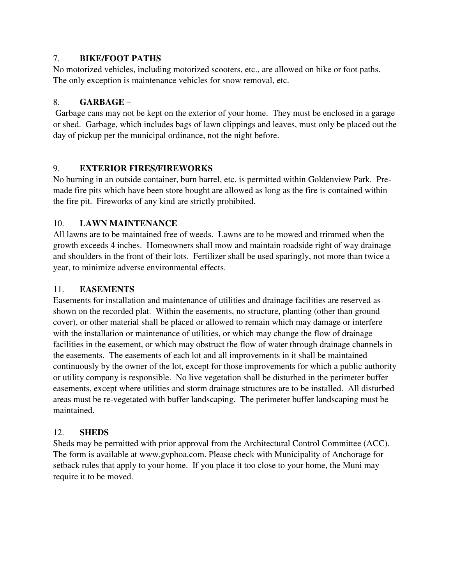#### 7. **BIKE/FOOT PATHS** –

No motorized vehicles, including motorized scooters, etc., are allowed on bike or foot paths. The only exception is maintenance vehicles for snow removal, etc.

#### 8. **GARBAGE** –

 Garbage cans may not be kept on the exterior of your home. They must be enclosed in a garage or shed. Garbage, which includes bags of lawn clippings and leaves, must only be placed out the day of pickup per the municipal ordinance, not the night before.

#### 9. **EXTERIOR FIRES/FIREWORKS** –

No burning in an outside container, burn barrel, etc. is permitted within Goldenview Park. Premade fire pits which have been store bought are allowed as long as the fire is contained within the fire pit. Fireworks of any kind are strictly prohibited.

#### 10. **LAWN MAINTENANCE** –

All lawns are to be maintained free of weeds. Lawns are to be mowed and trimmed when the growth exceeds 4 inches. Homeowners shall mow and maintain roadside right of way drainage and shoulders in the front of their lots. Fertilizer shall be used sparingly, not more than twice a year, to minimize adverse environmental effects.

## 11. **EASEMENTS** –

Easements for installation and maintenance of utilities and drainage facilities are reserved as shown on the recorded plat. Within the easements, no structure, planting (other than ground cover), or other material shall be placed or allowed to remain which may damage or interfere with the installation or maintenance of utilities, or which may change the flow of drainage facilities in the easement, or which may obstruct the flow of water through drainage channels in the easements. The easements of each lot and all improvements in it shall be maintained continuously by the owner of the lot, except for those improvements for which a public authority or utility company is responsible. No live vegetation shall be disturbed in the perimeter buffer easements, except where utilities and storm drainage structures are to be installed. All disturbed areas must be re-vegetated with buffer landscaping. The perimeter buffer landscaping must be maintained.

## 12. **SHEDS** –

Sheds may be permitted with prior approval from the Architectural Control Committee (ACC). The form is available at www.gvphoa.com. Please check with Municipality of Anchorage for setback rules that apply to your home. If you place it too close to your home, the Muni may require it to be moved.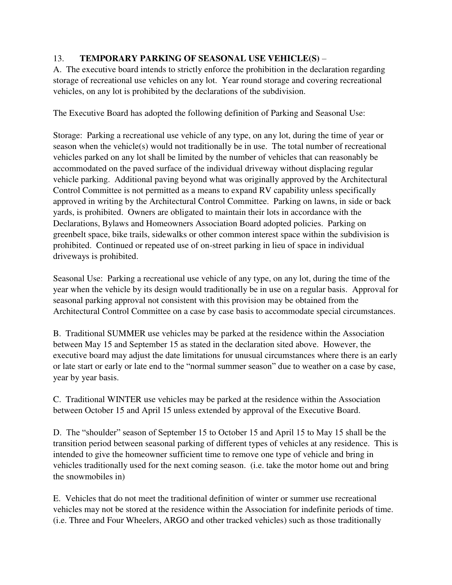## 13. **TEMPORARY PARKING OF SEASONAL USE VEHICLE(S)** –

A. The executive board intends to strictly enforce the prohibition in the declaration regarding storage of recreational use vehicles on any lot. Year round storage and covering recreational vehicles, on any lot is prohibited by the declarations of the subdivision.

The Executive Board has adopted the following definition of Parking and Seasonal Use:

Storage: Parking a recreational use vehicle of any type, on any lot, during the time of year or season when the vehicle(s) would not traditionally be in use. The total number of recreational vehicles parked on any lot shall be limited by the number of vehicles that can reasonably be accommodated on the paved surface of the individual driveway without displacing regular vehicle parking. Additional paving beyond what was originally approved by the Architectural Control Committee is not permitted as a means to expand RV capability unless specifically approved in writing by the Architectural Control Committee. Parking on lawns, in side or back yards, is prohibited. Owners are obligated to maintain their lots in accordance with the Declarations, Bylaws and Homeowners Association Board adopted policies. Parking on greenbelt space, bike trails, sidewalks or other common interest space within the subdivision is prohibited. Continued or repeated use of on-street parking in lieu of space in individual driveways is prohibited.

Seasonal Use: Parking a recreational use vehicle of any type, on any lot, during the time of the year when the vehicle by its design would traditionally be in use on a regular basis. Approval for seasonal parking approval not consistent with this provision may be obtained from the Architectural Control Committee on a case by case basis to accommodate special circumstances.

B. Traditional SUMMER use vehicles may be parked at the residence within the Association between May 15 and September 15 as stated in the declaration sited above. However, the executive board may adjust the date limitations for unusual circumstances where there is an early or late start or early or late end to the "normal summer season" due to weather on a case by case, year by year basis.

C. Traditional WINTER use vehicles may be parked at the residence within the Association between October 15 and April 15 unless extended by approval of the Executive Board.

D. The "shoulder" season of September 15 to October 15 and April 15 to May 15 shall be the transition period between seasonal parking of different types of vehicles at any residence. This is intended to give the homeowner sufficient time to remove one type of vehicle and bring in vehicles traditionally used for the next coming season. (i.e. take the motor home out and bring the snowmobiles in)

E. Vehicles that do not meet the traditional definition of winter or summer use recreational vehicles may not be stored at the residence within the Association for indefinite periods of time. (i.e. Three and Four Wheelers, ARGO and other tracked vehicles) such as those traditionally